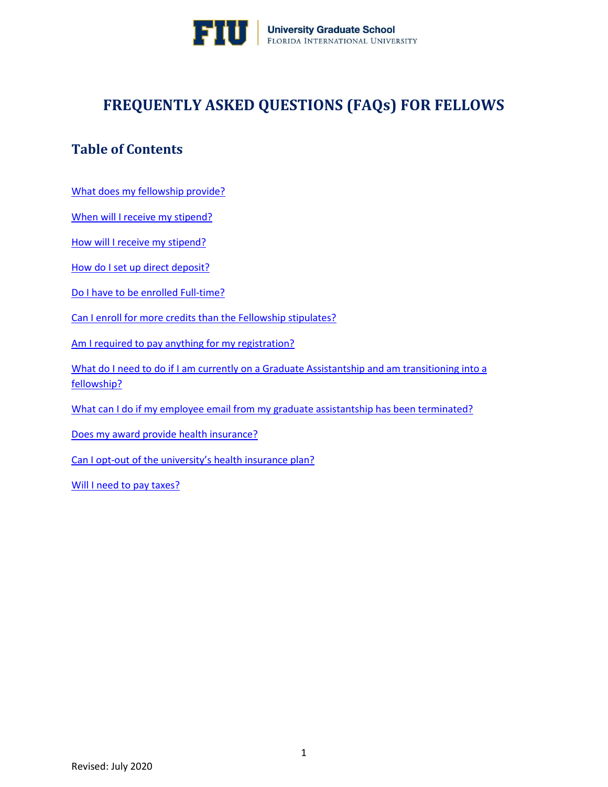

# **FREQUENTLY ASKED QUESTIONS (FAQs) FOR FELLOWS**

# **Table of Contents**

[What does my fellowship provide?](#page-1-0)

[When will I receive my stipend?](#page-1-1)

[How will I receive my stipend?](#page-1-2)

[How do I set up direct deposit?](#page-1-3)

[Do I have to be enrolled Full-time?](#page-2-0)

[Can I enroll for more credits than the Fellowship stipulates?](#page-2-1)

[Am I required to pay anything for my registration?](#page-2-2)

What do I need to do if I am currently on a Graduate Assistantship and am transitioning into a [fellowship?](#page-3-0)

[What can I do if my employee email from my graduate assistantship has been terminated?](#page-3-1)

[Does my award provide health insurance?](#page-3-2)

Can I opt-[out of the university's health insurance plan?](#page-3-3)

[Will I need to pay taxes?](#page-4-0)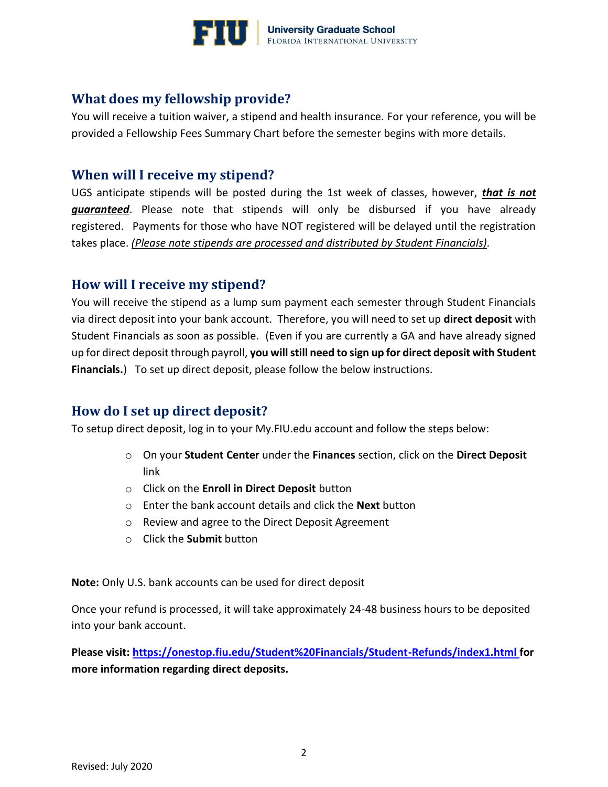

## <span id="page-1-0"></span>**What does my fellowship provide?**

You will receive a tuition waiver, a stipend and health insurance. For your reference, you will be provided a Fellowship Fees Summary Chart before the semester begins with more details.

### <span id="page-1-1"></span>**When will I receive my stipend?**

UGS anticipate stipends will be posted during the 1st week of classes, however, *that is not guaranteed*. Please note that stipends will only be disbursed if you have already registered. Payments for those who have NOT registered will be delayed until the registration takes place. *(Please note stipends are processed and distributed by Student Financials).*

### <span id="page-1-2"></span>**How will I receive my stipend?**

You will receive the stipend as a lump sum payment each semester through Student Financials via direct deposit into your bank account. Therefore, you will need to set up **direct deposit** with Student Financials as soon as possible. (Even if you are currently a GA and have already signed up for direct deposit through payroll, **you will still need to sign up for direct deposit with Student Financials.**) To set up direct deposit, please follow the below instructions.

# <span id="page-1-3"></span>**How do I set up direct deposit?**

To setup direct deposit, log in to your [My.FIU.edu](https://my.fiu.edu/) account and follow the steps below:

- o On your **Student Center** under the **Finances** section, click on the **Direct Deposit** link
- o Click on the **Enroll in Direct Deposit** button
- o Enter the bank account details and click the **Next** button
- o Review and agree to the Direct Deposit Agreement
- o Click the **Submit** button

**Note:** Only U.S. bank accounts can be used for direct deposit

Once your refund is processed, it will take approximately 24-48 business hours to be deposited into your bank account.

**Please visit:<https://onestop.fiu.edu/Student%20Financials/Student-Refunds/index1.html> for more information regarding direct deposits.**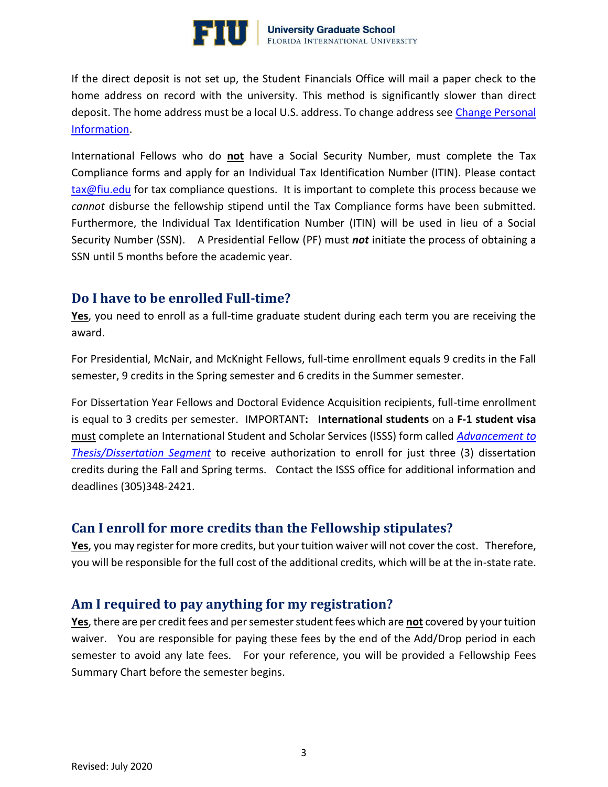

If the direct deposit is not set up, the Student Financials Office will mail a paper check to the home address on record with the university. This method is significantly slower than direct deposit. The home address must be a local U.S. address. To change address see [Change Personal](https://onestop.fiu.edu/student-records-myfiu/personal-records/change-personal-information/)  [Information.](https://onestop.fiu.edu/student-records-myfiu/personal-records/change-personal-information/)

International Fellows who do **not** have a Social Security Number, must complete the Tax Compliance forms and apply for an Individual Tax Identification Number (ITIN). Please contact [tax@fiu.edu](mailto:tax@fiu.edu) for tax compliance questions. It is important to complete this process because we *cannot* disburse the fellowship stipend until the Tax Compliance forms have been submitted. Furthermore, the Individual Tax Identification Number (ITIN) will be used in lieu of a Social Security Number (SSN). A Presidential Fellow (PF) must *not* initiate the process of obtaining a SSN until 5 months before the academic year.

### <span id="page-2-0"></span>**Do I have to be enrolled Full-time?**

**Yes**, you need to enroll as a full-time graduate student during each term you are receiving the award.

For Presidential, McNair, and McKnight Fellows, full-time enrollment equals 9 credits in the Fall semester, 9 credits in the Spring semester and 6 credits in the Summer semester.

For Dissertation Year Fellows and Doctoral Evidence Acquisition recipients, full-time enrollment is equal to 3 credits per semester.IMPORTANT**: International students** on a **F-1 student visa** must complete an International Student and Scholar Services (ISSS) form called *[Advancement to](https://globalaffairs.fiu.edu/wp-content/uploads/sites/40/2018/08/Advancement-Thesis_Dissertation-08-2018-fill-1.pdf)  [Thesis/Dissertation Segment](https://globalaffairs.fiu.edu/wp-content/uploads/sites/40/2018/08/Advancement-Thesis_Dissertation-08-2018-fill-1.pdf)* to receive authorization to enroll for just three (3) dissertation credits during the Fall and Spring terms. Contact the ISSS office for additional information and deadlines (305)348-2421.

#### <span id="page-2-1"></span>**Can I enroll for more credits than the Fellowship stipulates?**

**Yes**, you may register for more credits, but your tuition waiver will not cover the cost. Therefore, you will be responsible for the full cost of the additional credits, which will be at the in-state rate.

## <span id="page-2-2"></span>**Am I required to pay anything for my registration?**

**Yes**, there are per credit fees and per semester student fees which are **not** covered by your tuition waiver. You are responsible for paying these fees by the end of the Add/Drop period in each semester to avoid any late fees. For your reference, you will be provided a Fellowship Fees Summary Chart before the semester begins.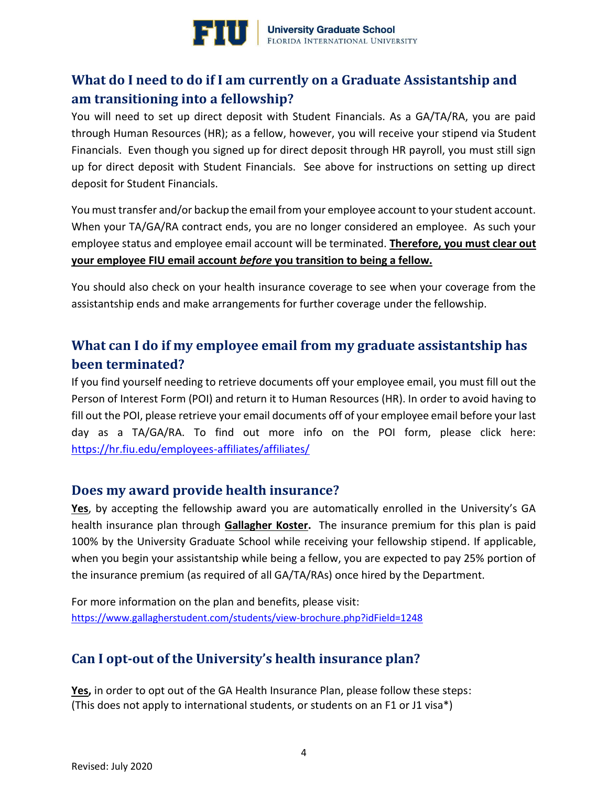

# <span id="page-3-0"></span>**What do I need to do if I am currently on a Graduate Assistantship and am transitioning into a fellowship?**

You will need to set up direct deposit with Student Financials. As a GA/TA/RA, you are paid through Human Resources (HR); as a fellow, however, you will receive your stipend via Student Financials. Even though you signed up for direct deposit through HR payroll, you must still sign up for direct deposit with Student Financials. See above for instructions on setting up direct deposit for Student Financials.

You must transfer and/or backup the email from your employee account to your student account. When your TA/GA/RA contract ends, you are no longer considered an employee. As such your employee status and employee email account will be terminated. **Therefore, you must clear out your employee FIU email account** *before* **you transition to being a fellow.**

You should also check on your health insurance coverage to see when your coverage from the assistantship ends and make arrangements for further coverage under the fellowship.

# <span id="page-3-1"></span>**What can I do if my employee email from my graduate assistantship has been terminated?**

If you find yourself needing to retrieve documents off your employee email, you must fill out the Person of Interest Form (POI) and return it to Human Resources (HR). In order to avoid having to fill out the POI, please retrieve your email documents off of your employee email before your last day as a TA/GA/RA. To find out more info on the POI form, please click here: https://hr.fiu.edu/employees-affiliates/affiliates/

## <span id="page-3-2"></span>**Does my award provide health insurance?**

Yes, by accepting the fellowship award you are automatically enrolled in the University's GA health insurance plan through **Gallagher Koster.** The insurance premium for this plan is paid 100% by the University Graduate School while receiving your fellowship stipend. If applicable, when you begin your assistantship while being a fellow, you are expected to pay 25% portion of the insurance premium (as required of all GA/TA/RAs) once hired by the Department.

For more information on the plan and benefits, please visit: <https://www.gallagherstudent.com/students/view-brochure.php?idField=1248>

# <span id="page-3-3"></span>**Can I opt-out of the University's health insurance plan?**

Yes, in order to opt out of the GA Health Insurance Plan, please follow these steps: (This does not apply to international students, or students on an F1 or J1 visa\*)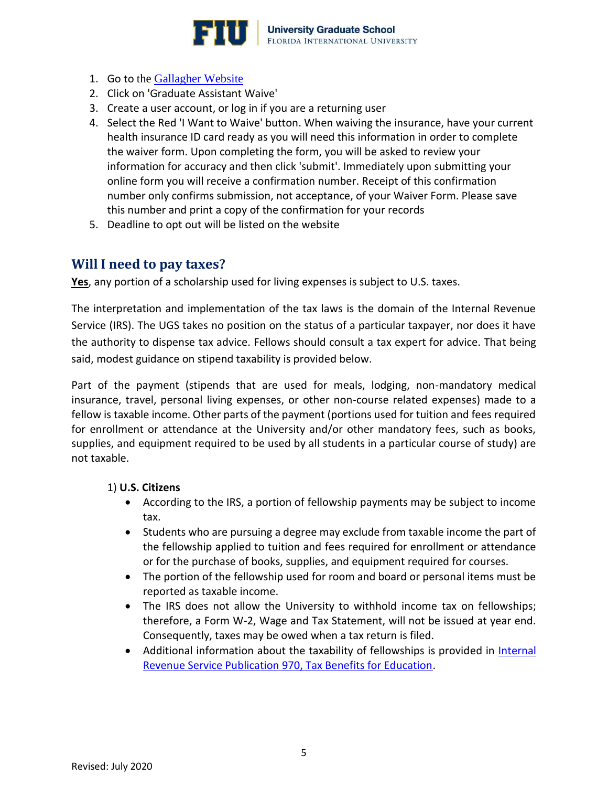

- 1. Go to the [Gallagher Website](https://go.gallagherstudent.com/Universities/Florida%20International%20University/Home)
- 2. Click on 'Graduate Assistant Waive'
- 3. Create a user account, or log in if you are a returning user
- 4. Select the Red 'I Want to Waive' button. When waiving the insurance, have your current health insurance ID card ready as you will need this information in order to complete the waiver form. Upon completing the form, you will be asked to review your information for accuracy and then click 'submit'. Immediately upon submitting your online form you will receive a confirmation number. Receipt of this confirmation number only confirms submission, not acceptance, of your Waiver Form. Please save this number and print a copy of the confirmation for your records
- 5. Deadline to opt out will be listed on the website

# <span id="page-4-0"></span>**Will I need to pay taxes?**

**Yes**, any portion of a scholarship used for living expenses is subject to U.S. taxes.

The interpretation and implementation of the tax laws is the domain of the Internal Revenue Service (IRS). The UGS takes no position on the status of a particular taxpayer, nor does it have the authority to dispense tax advice. Fellows should consult a tax expert for advice. That being said, modest guidance on stipend taxability is provided below.

Part of the payment (stipends that are used for meals, lodging, non-mandatory medical insurance, travel, personal living expenses, or other non-course related expenses) made to a fellow is taxable income. Other parts of the payment (portions used for tuition and fees required for enrollment or attendance at the University and/or other mandatory fees, such as books, supplies, and equipment required to be used by all students in a particular course of study) are not taxable.

#### 1) **U.S. Citizens**

- According to the IRS, a portion of fellowship payments may be subject to income tax.
- Students who are pursuing a degree may exclude from taxable income the part of the fellowship applied to tuition and fees required for enrollment or attendance or for the purchase of books, supplies, and equipment required for courses.
- The portion of the fellowship used for room and board or personal items must be reported as taxable income.
- The IRS does not allow the University to withhold income tax on fellowships; therefore, a Form W-2, Wage and Tax Statement, will not be issued at year end. Consequently, taxes may be owed when a tax return is filed.
- Additional information about the taxability of fellowships is provided in Internal [Revenue Service Publication 970, Tax Benefits for Education.](https://www.irs.gov/pub/irs-pdf/p970.pdf)